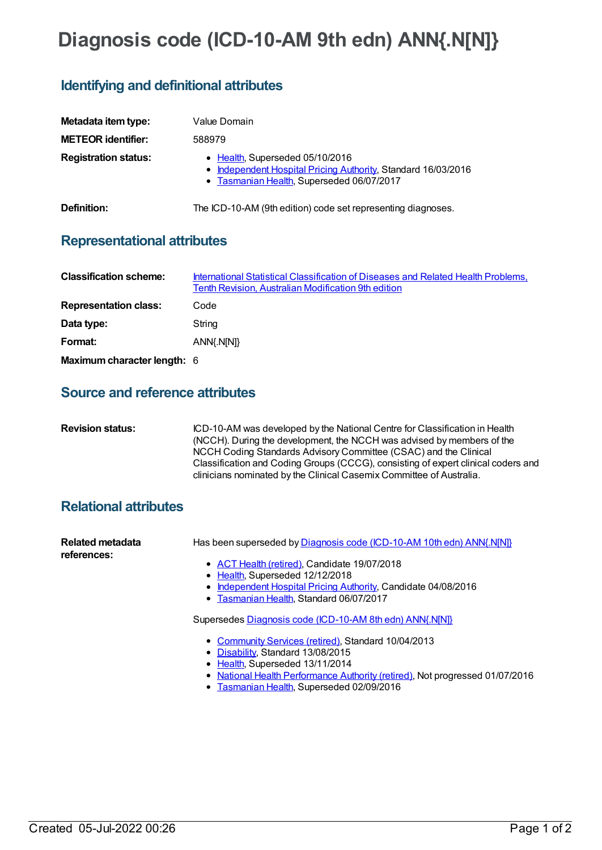# **Diagnosis code (ICD-10-AM 9th edn) ANN{.N[N]}**

## **Identifying and definitional attributes**

| Metadata item type:         | Value Domain                                                                                                                                  |
|-----------------------------|-----------------------------------------------------------------------------------------------------------------------------------------------|
| <b>METEOR identifier:</b>   | 588979                                                                                                                                        |
| <b>Registration status:</b> | • Health, Superseded 05/10/2016<br>• Independent Hospital Pricing Authority, Standard 16/03/2016<br>• Tasmanian Health, Superseded 06/07/2017 |
| Definition:                 | The ICD-10-AM (9th edition) code set representing diagnoses.                                                                                  |

### **Representational attributes**

| <b>Classification scheme:</b> | International Statistical Classification of Diseases and Related Health Problems,<br>Tenth Revision, Australian Modification 9th edition |
|-------------------------------|------------------------------------------------------------------------------------------------------------------------------------------|
| <b>Representation class:</b>  | Code                                                                                                                                     |
| Data type:                    | String                                                                                                                                   |
| Format:                       | ANN{.N[N]}                                                                                                                               |
| Maximum character length: 6   |                                                                                                                                          |

#### **Source and reference attributes**

| <b>Revision status:</b> | ICD-10-AM was developed by the National Centre for Classification in Health       |
|-------------------------|-----------------------------------------------------------------------------------|
|                         | (NCCH). During the development, the NCCH was advised by members of the            |
|                         | NCCH Coding Standards Advisory Committee (CSAC) and the Clinical                  |
|                         | Classification and Coding Groups (CCCG), consisting of expert clinical coders and |
|                         | clinicians nominated by the Clinical Casemix Committee of Australia.              |

### **Relational attributes**

| Related metadata<br>references: | Has been superseded by Diagnosis code (ICD-10-AM 10th edn) ANN{.N[N]} |
|---------------------------------|-----------------------------------------------------------------------|
|                                 | • ACT Health (retired), Candidate 19/07/2018                          |
|                                 | • Health, Superseded 12/12/2018                                       |
|                                 | • Independent Hospital Pricing Authority, Candidate 04/08/2016        |
|                                 | • Tasmanian Health, Standard 06/07/2017                               |
|                                 | Supersedes Diagnosis code (ICD-10-AM 8th edn) ANN{.N[N]}              |
|                                 | • Community Services (retired), Standard 10/04/2013                   |
|                                 | • Disability, Standard 13/08/2015                                     |
|                                 |                                                                       |

- [Health](https://meteor.aihw.gov.au/RegistrationAuthority/12), Superseded 13/11/2014
- National Health [Performance](https://meteor.aihw.gov.au/RegistrationAuthority/8) Authority (retired), Not progressed 01/07/2016
- [Tasmanian](https://meteor.aihw.gov.au/RegistrationAuthority/15) Health, Superseded 02/09/2016